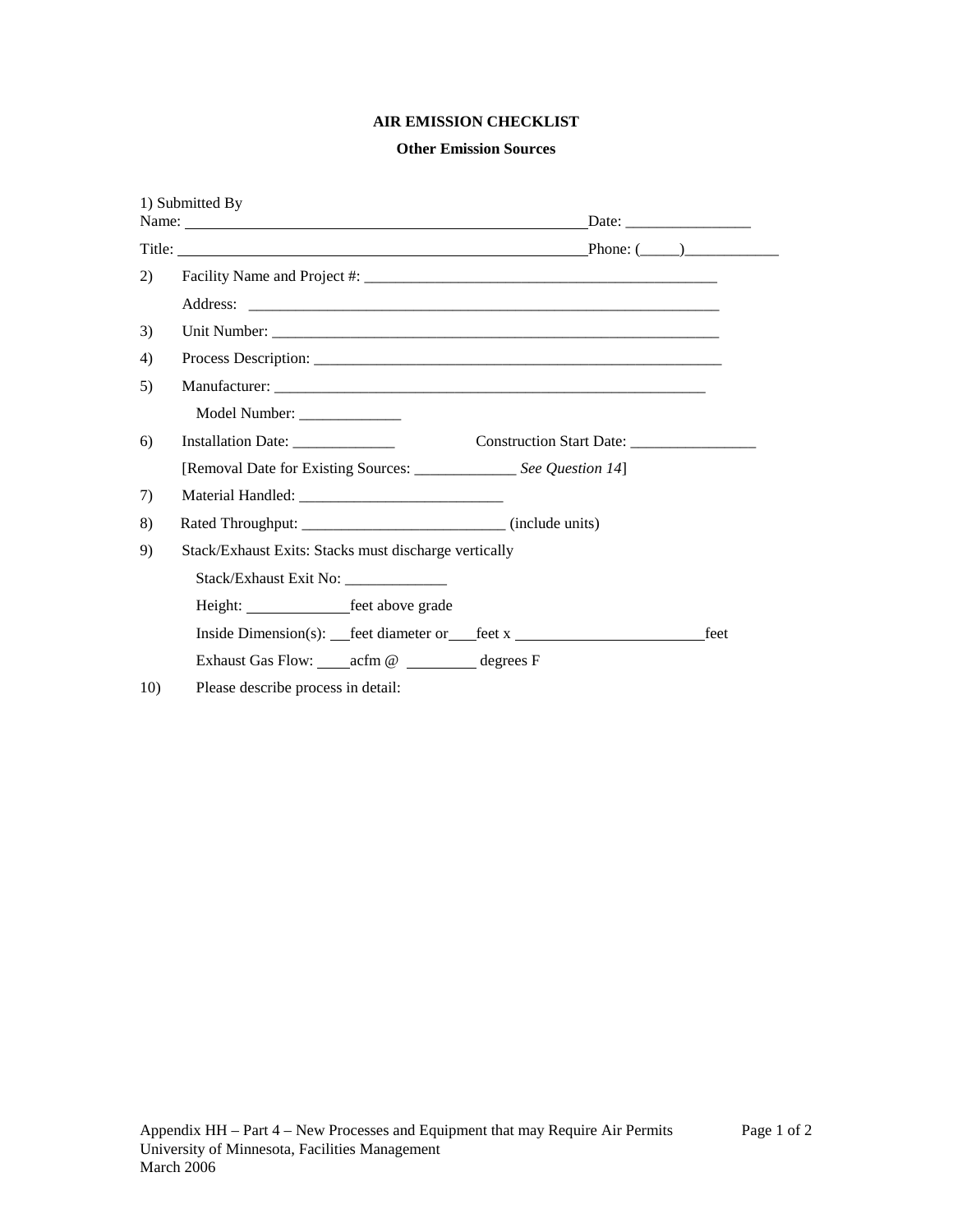# **AIR EMISSION CHECKLIST**

## **Other Emission Sources**

|     | 1) Submitted By                                                                  |      |
|-----|----------------------------------------------------------------------------------|------|
|     |                                                                                  |      |
| 2)  |                                                                                  |      |
|     |                                                                                  |      |
| 3)  |                                                                                  |      |
| 4)  |                                                                                  |      |
| 5)  |                                                                                  |      |
|     | Model Number: _______________                                                    |      |
| 6)  | Installation Date: _______________                                               |      |
|     | [Removal Date for Existing Sources: ________________ See Question 14]            |      |
| 7)  |                                                                                  |      |
| 8)  |                                                                                  |      |
| 9)  | Stack/Exhaust Exits: Stacks must discharge vertically                            |      |
|     | Stack/Exhaust Exit No:                                                           |      |
|     | Height: <u>feet</u> above grade                                                  |      |
|     | Inside Dimension(s): __feet diameter or __feet x _______________________________ | feet |
|     | Exhaust Gas Flow: ______ acfm @ ___________ degrees F                            |      |
| 10) | Please describe process in detail:                                               |      |